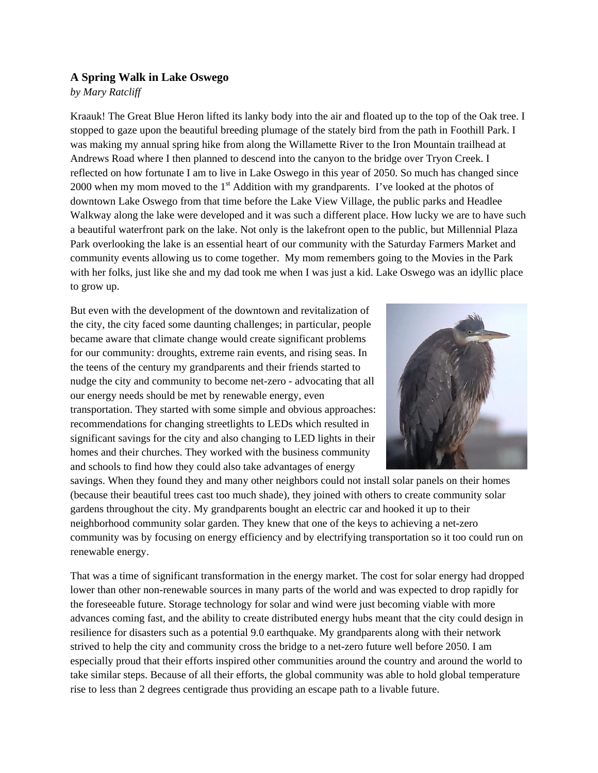## **A Spring Walk in Lake Oswego**

## *by Mary Ratcliff*

Kraauk! The Great Blue Heron lifted its lanky body into the air and floated up to the top of the Oak tree. I stopped to gaze upon the beautiful breeding plumage of the stately bird from the path in Foothill Park. I was making my annual spring hike from along the Willamette River to the Iron Mountain trailhead at Andrews Road where I then planned to descend into the canyon to the bridge over Tryon Creek. I reflected on how fortunate I am to live in Lake Oswego in this year of 2050. So much has changed since 2000 when my mom moved to the 1<sup>st</sup> Addition with my grandparents. I've looked at the photos of downtown Lake Oswego from that time before the Lake View Village, the public parks and Headlee Walkway along the lake were developed and it was such a different place. How lucky we are to have such a beautiful waterfront park on the lake. Not only is the lakefront open to the public, but Millennial Plaza Park overlooking the lake is an essential heart of our community with the Saturday Farmers Market and community events allowing us to come together. My mom remembers going to the Movies in the Park with her folks, just like she and my dad took me when I was just a kid. Lake Oswego was an idyllic place to grow up.

But even with the development of the downtown and revitalization of the city, the city faced some daunting challenges; in particular, people became aware that climate change would create significant problems for our community: droughts, extreme rain events, and rising seas. In the teens of the century my grandparents and their friends started to nudge the city and community to become net-zero - advocating that all our energy needs should be met by renewable energy, even transportation. They started with some simple and obvious approaches: recommendations for changing streetlights to LEDs which resulted in significant savings for the city and also changing to LED lights in their homes and their churches. They worked with the business community and schools to find how they could also take advantages of energy



savings. When they found they and many other neighbors could not install solar panels on their homes (because their beautiful trees cast too much shade), they joined with others to create community solar gardens throughout the city. My grandparents bought an electric car and hooked it up to their neighborhood community solar garden. They knew that one of the keys to achieving a net-zero community was by focusing on energy efficiency and by electrifying transportation so it too could run on renewable energy.

That was a time of significant transformation in the energy market. The cost for solar energy had dropped lower than other non-renewable sources in many parts of the world and was expected to drop rapidly for the foreseeable future. Storage technology for solar and wind were just becoming viable with more advances coming fast, and the ability to create distributed energy hubs meant that the city could design in resilience for disasters such as a potential 9.0 earthquake. My grandparents along with their network strived to help the city and community cross the bridge to a net-zero future well before 2050. I am especially proud that their efforts inspired other communities around the country and around the world to take similar steps. Because of all their efforts, the global community was able to hold global temperature rise to less than 2 degrees centigrade thus providing an escape path to a livable future.